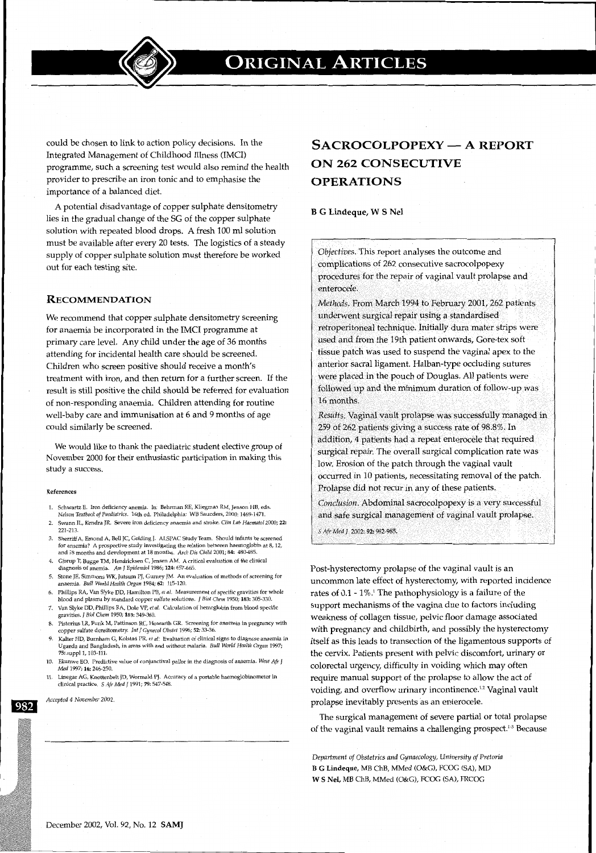

could be chosen to link to action policy decisions. In the Integrated Management of Childhood Illness (IMCI) programme, such a screening test would also remind the health provider to prescribe an iron tonic and to emphasise the importance of a balanced diet.

A potential disadvantage of copper sulphate densitometry lies in the gradual change of the SG of the copper sulphate solution with repeated blood drops. A fresh 100 ml solution must be available after every 20 tests. The logistics of a steady supply of copper sulphate solution must therefore be worked out for each testing site.

### **RECOMMENDATION**

We recommend that copper sulphate densitometry screening for anaemia be incorporated in the IMCI programme at primary care level. Any child under the age of 36 months attending for incidental health care should be screened. Children who screen positive should receive a month's treatment with iron, and then return for a further screen. If the result is still positive the child should be referred for evaluation of non-responding anaemia. Children attending for routine well-baby care and immunisation at 6 and 9 months of age could similarly be screened.

We would like to thank the paediatric student elective group of November 2000 for their enthusiastic participation in making this study a success.

#### References

- 1. Schwartz E. Iron deficiency anemia. In: Behrman RE, Kliegman RM, Jenson HB, eds. *Nelson Textbook of Paediatrics.* 16th ed. Philadelphia: WB Saunders, 2000: 1469-1471.
- 2. Swann IL, Kendra JR. Severe iron deficiency anaemia and stroke. *Clin Lab Haematol* 2000; 22: 221-213.
- 3. Sherriff A, Emond A, Bell JC, Golding J. ALSPAC Study Team. Should infants be screened for anaemia? A prospective study investigating the relation between haemoglobin at 8, 12, and 18 months and development at 18 months. *Arch* Dis *Child* 2001; 84: 480-485.
- 4. Gjorup T, Bugge TM, Hendricksen C, Jensen AM. A critical evaluation of the clinical diagnosis of anemia. Am J Epidemiol 1986; 124: 657-665.
- 5. Stone JE, Simmons WK, Jutsum PJ, Gurney JM. An evaluation of methods of screening for anaemia. *Bull World Health Organ* 1984; 62: 115-120.
- 6. Phillips RA, Van Slyke DD, Hamilton PB, *et al.* Measurement of specific gravities for whole blood and plasma by standard copper sulfate solutions. J *Biol Chem* 1950; 183: 305-330.
- 7. VanSlyke DO, Phillips RA, Dole VP, *et al.* Calculation of hemoglobin from blood specific gravities. J *Biol Chern* 1950; 183:349-360.
- 8. Pistorius LR, Funk M, Pattinson RC, Howarth GR. Screening for anaemia in pregnancy with copper sulfate densitometry. *Int* J *Gynecol Obstet* 1996; 52: 33-36.
- 9. Kalter HD, Burnham G, Kolstad PR, *et al:* Evaluation of clinical signs to diagnose anaemia in Uganda and Bangladesh, in areas with and without malaria. *Bull World Health Organ* 1997; 75: supp11, 103-111.
- 10. Ekunwe EO. Predictive value of conjunctival pallor in the diagnosis of anaemia. *West Afr* J *Med* 1997; 16:246-250.
- 11. Linegar AG, Knottenbelt JD, Wormald PJ. Accuracy of a portable haemoglobinometer in clinical practice. *5 Afr Med* J 1991; 79:547-548.

982

*Accepted 4 November 2002.* 

# SACROCOLPOPEXY - A REPORT ON 262 CONSECUTIVE OPERATIONS

B G Lindeque, W S Nel

*Objectives.* This report analyses the outcome and complications of 262 consecutive sacrocolpopexy procedures for the repair of vaginal vault prolapse and enterocele.

*Methods.* From March 1994 to February 2001, 262 patients underwent surgical repair using a standardised retroperitoneal technique. Initially dura mater strips were used and from the 19th patient onwards, Gore-tex soft tissue patch was used to suspend the vaginal apex to the anterior sacral ligament. Halban-type occluding sutures were placed in the pouch of Douglas. All patients were followed up and the minimum duration of follow-up was 16 months.

*Results.* Vaginal vault prolapse was successfully managed in 259 of 262 patients giving a success rate of 98.8%. In addition, 4 patients had a repeat enterocele that required surgical repair. The overall surgical complication rate was low. Erosion of the patch through the vaginal vault occurred in 10 patients, necessitating removal of the patch. Prolapse did not recur in any of these patients.

*Conclusion.* Abdominal sacrocolpopexy is a very successful and safe surgical management of vaginal vault prolapse. *S Afr Med* J 2002: 92: 982-985.

Post-hysterectomy prolapse of the vaginal vault is an uncommon late effect of hysterectomy, with reported incidence rates of 0.1- 1%.1 The pathophysiology is a failure of the support mechanisms of the vagina due to factors including weakness of collagen tissue, pelvic floor damage associated with pregnancy and childbirth, and possibly the hysterectomy itself as this leads to transection of the ligamentous supports of the cervix. Patients present with pelvic discomfort, urinary or colorectal urgency; difficulty in voiding which may often require manual support of the prolapse to allow the act of voiding, and overflow urinary incontinence.<sup>1,2</sup> Vaginal vault

The surgical management of severe partial or total prolapse of the vaginal vault remains a challenging prospect.<sup>1,3</sup> Because

*Department of* Obstetrics *and Gynaecology, University of Pretoria*  B G Lindeque, MB ChB, MMed (O&G), FCOG (SA), MD W S Nel, MB ChB, MMed (O&G), FCOG (SA), FRCOG

prolapse inevitably presents as an enterocele.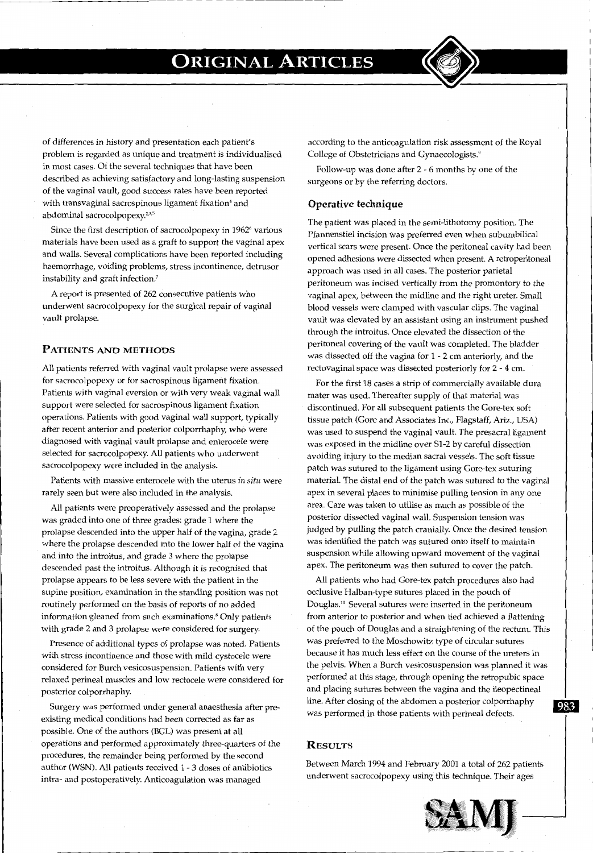of differences in history and presentation each patient's problem is regarded as unique and treatment is individualised in most cases. Of the several techniques that have been described as achieving satisfactory and long-lasting suspension of the vaginal vault, good success rates have been reported with transvaginal sacrospinous ligament fixation' and abdominal sacrocolpopexy.<sup>2,3,5</sup>

Since the first description of sacrocolpopexy in 1962' various materials have been used as a graft to support the vaginal apex and walls. Several complications have been reported including haemorrhage, voiding problems, stress incontinence, detrusor instability and graft infection.'

A report is presented of 262 consecutive patients who underwent sacrocolpopexy for the surgical repair of vaginal vault prolapse.

### **PATIENTS AND METHODS**

All patients referred with vaginal vault prolapse were assessed for sacrocolpopexy or for sacrospinous ligament fixation. Patients with vaginal eversion or with very weak vaginal wall support were selected for sacrospinous ligament fixation operations. Patients with good vaginal wall support, typically after recent anterior and posterior colporrhaphy, who were diagnosed with vaginal vault prolapse and enterocele were selected for sacrocolpopexy. All patients who underwent sacrocolpopexy were included in the analysis.

Patients with massive enterocele with the uterus *in situ* were rarely seen but were also included in the analysis.

All patients were preoperatively assessed and the prolapse was graded into one of three grades: grade 1 where the prolapse descended into the upper half of the vagina, grade 2 where the prolapse descended into the lower half of the vagina and into the introitus, and grade 3 where the prolapse descended past the introitus. Although it is recognised that prolapse appears to be less severe with the patient in the supine position, examination in the standing position was not routinely performed on the basis of reports of no added information gleaned from such examinations." Only patients with grade 2 and 3 prolapse were considered for surgery.

Presence of additional types of prolapse was noted. Patients with stress incontinence and those with mild cystocele were considered for Burch vesicosuspension. Patients with very relaxed perineal muscles and low rectocele were considered for posterior colporrhaphy.

Surgery was performed under general anaesthesia after preexisting medical conditions had been corrected as far as possible. One of the authors (BGL) was present at all operations and performed approximately three-quarters of the procedures, the remainder being performed by the second author (WSN). All patients received 1 - 3 doses of antibiotics intra- and postoperatively. Anticoagulation was managed

according to the anticoagulation risk assessment of the Royal College of Obstetricians and Gynaecologists."

Follow-up was done after 2 - 6 months by one of the surgeons or by the referring doctors.

#### **Operative technique**

The patient was placed in the semi-lithotomy position. The Pfannenstiel incision was preferred even when subumbilical vertical scars were present. Once the peritoneal cavity had been opened adhesions were dissected when present. A retroperitoneal approach was used in all cases. The posterior parietal peritoneum was incised vertically from the promontory to the vaginal apex, between the midline and the right ureter. Small blood vessels were clamped with vascular clips. The vaginal vault was elevated by an assistant using an instrument pushed through the introitus. Once elevated the dissection of the peritoneal covering of the vault was completed. The bladder was dissected off the vagina for 1 - 2 em anteriorly, and the rectovaginal space was dissected posteriorly for 2 - 4 em.

For the first 18 cases a strip of commercially available dura mater was used. Thereafter supply of that material was discontinued. For all subsequent patients the Gore-tex soft tissue patch (Gore and Associates Inc., Flagstaff, Ariz., USA) was used to suspend the vaginal vault. The presacral ligament was exposed in the midline over S1-2 by careful dissection avoiding injury to the median sacral vessels. The soft tissue patch was sutured to the ligament using Gore-tex suturing material. The distal end of the patch was sutured to the vaginal apex in several places to minimise pulling tension in any one area. Care was taken to utilise as much as possible of the posterior dissected vaginal wall. Suspension tension was judged by pulling the patch cranially. Once the desired tension was identified the patch was sutured onto itself to maintain suspension while allowing upward movement of the vaginal apex. The peritoneum was then sutured to cover the patch.

All patients who had Gore-tex patch procedures also had occlusive Halban-type sutures placed in the pouch of Douglas.10 Several sutures were inserted in the peritoneum from anterior to posterior and when tied achieved a flattening of the pouch of Douglas and a straightening of the rectum. This was preferred to the Moschowitz type of circular sutures because it has much less effect on the course of the ureters in the pelvis. When a Burch vesicosuspension was planned it was performed at this stage, through opening the retropubic space and placing sutures between the vagina and the ileopectineal line. After closing of the abdomen a posterior colporrhaphy **B.22** was performed in those patients with perineal defects.

#### **RESULTS**

Between March 1994 and February 2001 a total of 262 patients underwent sacrocolpopexy using this technique. Their ages

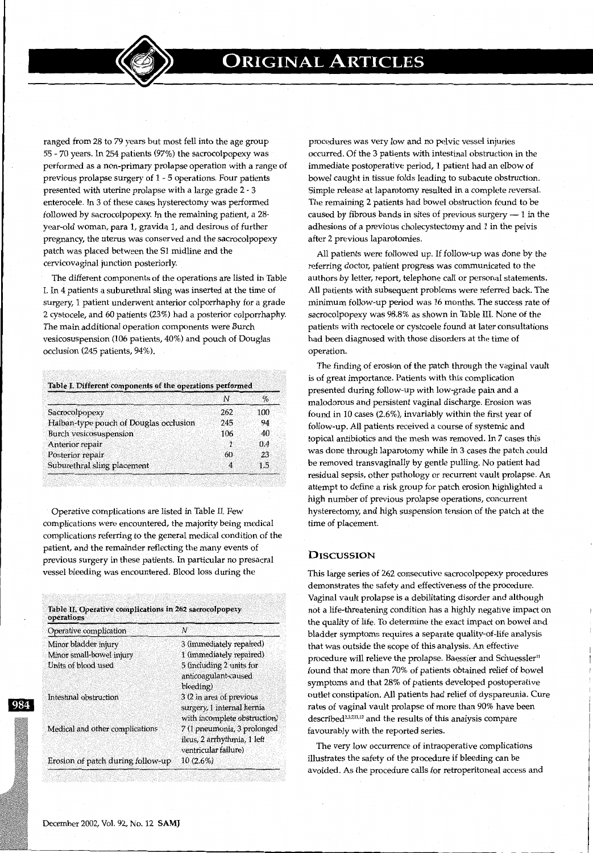ranged from 28 to 79 years but most fell into the age group 55· 70 years. In 254 patients (97%) the sacrocolpopexy was performed as a non-primary prolapse operation with a range of previous prolapse surgery of 1 - 5 operations. Four patients presented with uterine prolapse with a large grade 2- 3 enterocele. In 3 of these cases hysterectomy was performed followed by sacrocolpopexy. In the remaining patient, a 28 year-old woman, para 1, gravida 1, and desirous of further pregnancy, the uterus was conserved and the sacrocolpopexy patch was placed between the 51 midline and the cervicovaginal junction posteriorly.

The different components of the operations are listed in Table I. In 4 patients a suburethral sling was inserted at the time of surgery, 1 patient underwent anterior colporrhaphy for a grade 2 cystocele, and 60 patients (23%) had a posterior colporrhaphy. The main additional operation components were Burch vesicosuspension (106 patients, 40%) and pouch of Douglas occlusion (245 patients, 94%).

|                                        | N   | $\%$ |
|----------------------------------------|-----|------|
| Sacrocolpopexy                         | 262 | 100  |
| Halban-type pouch of Douglas occlusion | 245 | 94   |
| <b>Burch vesicosuspension</b>          | 106 | 40   |
| Anterior repair                        | Æ   | 0.4  |
| Posterior repair                       | 60  | 23   |
| Suburethral sling placement            | 4   | 1.5  |

Operative complications are listed in Table II. Few complications were encountered, the majority being medical complications referring to the general medical condition of the patient, and the remainder reflecting the many events of previous surgery in these patients. In particular no presacral vessel bleeding was encountered. Blood loss during the

| Operative complication            | Ν                                                                                      |
|-----------------------------------|----------------------------------------------------------------------------------------|
| Minor bladder injury              | 3 (immediately repaired)                                                               |
| Minor small-bowel injury          | 1 (immediately repaired).                                                              |
| Units of blood used               | 5 (including 2 units for<br>anticoagulant-caused                                       |
|                                   | bleeding)                                                                              |
| Intestinal obstruction            | 3 (2 in area of previous<br>surgery, 1 internal hernia<br>with incomplete obstruction) |
| Medical and other complications   | 7 (1 pneumonia, 3 prolonged                                                            |
|                                   | ileus, 2 arrhythmia, 1 left<br>ventricular failure)                                    |
| Erosion of patch during follow-up | $10(2.6\%)$                                                                            |

procedures was very low and no pelvic vessel injuries occurred. Of the 3 patients with intestinal obstruction in the immediate postoperative period, 1 patient had an elbow of bowel caught in tissue folds leading to subacute obstruction. Simple release at laparotomy resulted in a complete reversal. The remaining 2 patients had bowel obstruction found to be caused by fibrous bands in sites of previous surgery  $-1$  in the adhesions of a previous cholecystectomy and 1 in the pelvis after 2 previous laparotomies.

All patients were followed up. If follow-up was done by the referring doctor, patient progress was communicated to the authors by letter, report, telephone call or personal statements. All patients with subsequent problems were referred back. The minimum follow-up period was 16 months. The success rate of sacrocolpopexy was 98.8% as shown in Table III. None of the patients with rectocele or cystcoele found at later consultations had been diagnosed with those disorders at the time of operation.

The finding of erosion of the patch through the vaginal vault is of great importance. Patients with this complication presented during follow-up with low-grade pain and a malodorous and persistent vaginal discharge. Erosion was found in 10 cases (2.6%), invariably within the first year of follow-up. All patients received a course of systemic and topical antibiotics and the mesh was removed. In 7 cases this was done through laparotomy while in 3 cases the patch could be removed transvaginally by gentle pulling. No patient had residual sepsis, other pathology or recurrent vault prolapse. An attempt to define a risk group for patch erosion highlighted a high number of previous prolapse operations, concurrent hysterectomy, and high suspension tension of the patch at the time of placement.

## **DISCUSSION**

This large series of 262 consecutive sacrocolpopexy procedures demonstrates the safety and effectiveness of the procedure. Vaginal vault prolapse is a debilitating disorder and although not a life-threatening condition has a highly negative impact on the quality of life. To determine the exact impact on bowel and bladder symptoms requires a separate quality-of-life analysis that was outside the scope of this analysis. An effective procedure will relieve the prolapse. Baessler and Schuessler<sup>11</sup> found that more than 70% of patients obtained relief of bowel symptoms and that 28% of patients developed postoperative outlet constipation. All patients had relief of dyspareunia. Cure rates of vaginal vault prolapse of more than 90% have been described<sup>2,3,7,11,12</sup> and the results of this analysis compare favourably with the reported series.

The very low occurrence of intraoperative complications illustrates the safety of the procedure if bleeding can be avoided. As the procedure calls for retroperitoneal access and